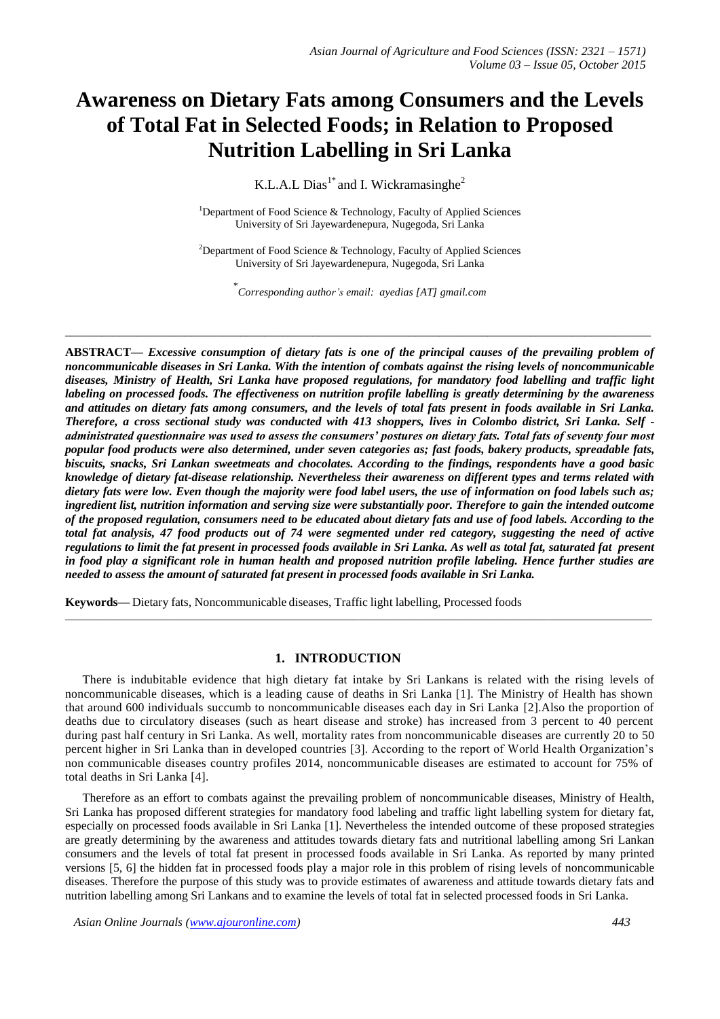# **Awareness on Dietary Fats among Consumers and the Levels of Total Fat in Selected Foods; in Relation to Proposed Nutrition Labelling in Sri Lanka**

K.L.A.L Dias<sup>1\*</sup> and I. Wickramasinghe<sup>2</sup>

<sup>1</sup>Department of Food Science & Technology, Faculty of Applied Sciences University of Sri Jayewardenepura, Nugegoda, Sri Lanka

<sup>2</sup>Department of Food Science & Technology, Faculty of Applied Sciences University of Sri Jayewardenepura, Nugegoda, Sri Lanka

\* *Corresponding author's email: ayedias [AT] gmail.com*

 $\_$  ,  $\_$  ,  $\_$  ,  $\_$  ,  $\_$  ,  $\_$  ,  $\_$  ,  $\_$  ,  $\_$  ,  $\_$  ,  $\_$  ,  $\_$  ,  $\_$  ,  $\_$  ,  $\_$  ,  $\_$  ,  $\_$  ,  $\_$  ,  $\_$  ,  $\_$  ,  $\_$  ,  $\_$  ,  $\_$  ,  $\_$  ,  $\_$  ,  $\_$  ,  $\_$  ,  $\_$  ,  $\_$  ,  $\_$  ,  $\_$  ,  $\_$  ,  $\_$  ,  $\_$  ,  $\_$  ,  $\_$  ,  $\_$  ,

**ABSTRACT***— Excessive consumption of dietary fats is one of the principal causes of the prevailing problem of noncommunicable diseases in Sri Lanka. With the intention of combats against the rising levels of noncommunicable diseases, Ministry of Health, Sri Lanka have proposed regulations, for mandatory food labelling and traffic light labeling on processed foods. The effectiveness on nutrition profile labelling is greatly determining by the awareness and attitudes on dietary fats among consumers, and the levels of total fats present in foods available in Sri Lanka. Therefore, a cross sectional study was conducted with 413 shoppers, lives in Colombo district, Sri Lanka. Self administrated questionnaire was used to assess the consumers' postures on dietary fats. Total fats of seventy four most popular food products were also determined, under seven categories as; fast foods, bakery products, spreadable fats, biscuits, snacks, Sri Lankan sweetmeats and chocolates. According to the findings, respondents have a good basic knowledge of dietary fat-disease relationship. Nevertheless their awareness on different types and terms related with dietary fats were low. Even though the majority were food label users, the use of information on food labels such as; ingredient list, nutrition information and serving size were substantially poor. Therefore to gain the intended outcome of the proposed regulation, consumers need to be educated about dietary fats and use of food labels. According to the total fat analysis, 47 food products out of 74 were segmented under red category, suggesting the need of active regulations to limit the fat present in processed foods available in Sri Lanka. As well as total fat, saturated fat present in food play a significant role in human health and proposed nutrition profile labeling. Hence further studies are needed to assess the amount of saturated fat present in processed foods available in Sri Lanka.*

**Keywords—** Dietary fats, Noncommunicable diseases, Traffic light labelling, Processed foods

## **1. INTRODUCTION**

There is indubitable evidence that high dietary fat intake by Sri Lankans is related with the rising levels of noncommunicable diseases, which is a leading cause of deaths in Sri Lanka [1]. The Ministry of Health has shown that around 600 individuals succumb to noncommunicable diseases each day in Sri Lanka [2].Also the proportion of deaths due to circulatory diseases (such as heart disease and stroke) has increased from 3 percent to 40 percent during past half century in Sri Lanka. As well, mortality rates from noncommunicable diseases are currently 20 to 50 percent higher in Sri Lanka than in developed countries [3]. According to the report of World Health Organization"s non communicable diseases country profiles 2014, noncommunicable diseases are estimated to account for 75% of total deaths in Sri Lanka [4].

\_\_\_\_\_\_\_\_\_\_\_\_\_\_\_\_\_\_\_\_\_\_\_\_\_\_\_\_\_\_\_\_\_\_\_\_\_\_\_\_\_\_\_\_\_\_\_\_\_\_\_\_\_\_\_\_\_\_\_\_\_\_\_\_\_\_\_\_\_\_\_\_\_\_\_\_\_\_\_\_\_\_\_\_\_\_\_\_\_\_\_\_\_\_\_\_\_\_\_\_\_\_\_\_\_\_\_\_

Therefore as an effort to combats against the prevailing problem of noncommunicable diseases, Ministry of Health, Sri Lanka has proposed different strategies for mandatory food labeling and traffic light labelling system for dietary fat, especially on processed foods available in Sri Lanka [1]. Nevertheless the intended outcome of these proposed strategies are greatly determining by the awareness and attitudes towards dietary fats and nutritional labelling among Sri Lankan consumers and the levels of total fat present in processed foods available in Sri Lanka. As reported by many printed versions [5, 6] the hidden fat in processed foods play a major role in this problem of rising levels of noncommunicable diseases. Therefore the purpose of this study was to provide estimates of awareness and attitude towards dietary fats and nutrition labelling among Sri Lankans and to examine the levels of total fat in selected processed foods in Sri Lanka.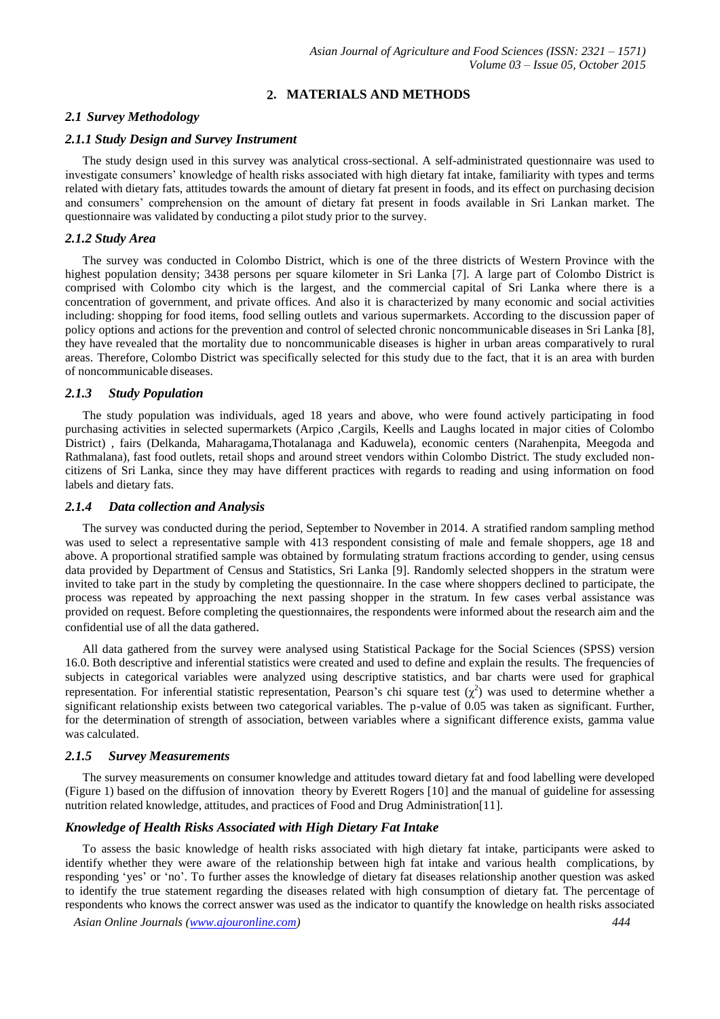# **2. MATERIALS AND METHODS**

#### *2.1 Survey Methodology*

#### *2.1.1 Study Design and Survey Instrument*

The study design used in this survey was analytical cross-sectional. A self-administrated questionnaire was used to investigate consumers" knowledge of health risks associated with high dietary fat intake, familiarity with types and terms related with dietary fats, attitudes towards the amount of dietary fat present in foods, and its effect on purchasing decision and consumers" comprehension on the amount of dietary fat present in foods available in Sri Lankan market. The questionnaire was validated by conducting a pilot study prior to the survey.

#### *2.1.2 Study Area*

The survey was conducted in Colombo District, which is one of the three districts of Western Province with the highest population density; 3438 persons per square kilometer in Sri Lanka [7]. A large part of Colombo District is comprised with Colombo city which is the largest, and the commercial capital of Sri Lanka where there is a concentration of government, and private offices. And also it is characterized by many economic and social activities including: shopping for food items, food selling outlets and various supermarkets. According to the discussion paper of policy options and actions for the prevention and control of selected chronic noncommunicable diseases in Sri Lanka [8], they have revealed that the mortality due to noncommunicable diseases is higher in urban areas comparatively to rural areas. Therefore, Colombo District was specifically selected for this study due to the fact, that it is an area with burden of noncommunicable diseases.

#### *2.1.3 Study Population*

The study population was individuals, aged 18 years and above, who were found actively participating in food purchasing activities in selected supermarkets (Arpico ,Cargils, Keells and Laughs located in major cities of Colombo District) , fairs (Delkanda, Maharagama,Thotalanaga and Kaduwela), economic centers (Narahenpita, Meegoda and Rathmalana), fast food outlets, retail shops and around street vendors within Colombo District. The study excluded noncitizens of Sri Lanka, since they may have different practices with regards to reading and using information on food labels and dietary fats.

#### *2.1.4 Data collection and Analysis*

The survey was conducted during the period, September to November in 2014. A stratified random sampling method was used to select a representative sample with 413 respondent consisting of male and female shoppers, age 18 and above. A proportional stratified sample was obtained by formulating stratum fractions according to gender, using census data provided by Department of Census and Statistics, Sri Lanka [9]. Randomly selected shoppers in the stratum were invited to take part in the study by completing the questionnaire. In the case where shoppers declined to participate, the process was repeated by approaching the next passing shopper in the stratum. In few cases verbal assistance was provided on request. Before completing the questionnaires, the respondents were informed about the research aim and the confidential use of all the data gathered.

All data gathered from the survey were analysed using Statistical Package for the Social Sciences (SPSS) version 16.0. Both descriptive and inferential statistics were created and used to define and explain the results. The frequencies of subjects in categorical variables were analyzed using descriptive statistics, and bar charts were used for graphical representation. For inferential statistic representation, Pearson's chi square test  $(\chi^2)$  was used to determine whether a significant relationship exists between two categorical variables. The p-value of 0.05 was taken as significant. Further, for the determination of strength of association, between variables where a significant difference exists, gamma value was calculated.

#### *2.1.5 Survey Measurements*

The survey measurements on consumer knowledge and attitudes toward dietary fat and food labelling were developed (Figure 1) based on the diffusion of innovation theory by Everett Rogers [10] and the manual of guideline for assessing nutrition related knowledge, attitudes, and practices of Food and Drug Administration[11].

#### *Knowledge of Health Risks Associated with High Dietary Fat Intake*

To assess the basic knowledge of health risks associated with high dietary fat intake, participants were asked to identify whether they were aware of the relationship between high fat intake and various health complications, by responding "yes" or "no". To further asses the knowledge of dietary fat diseases relationship another question was asked to identify the true statement regarding the diseases related with high consumption of dietary fat. The percentage of respondents who knows the correct answer was used as the indicator to quantify the knowledge on health risks associated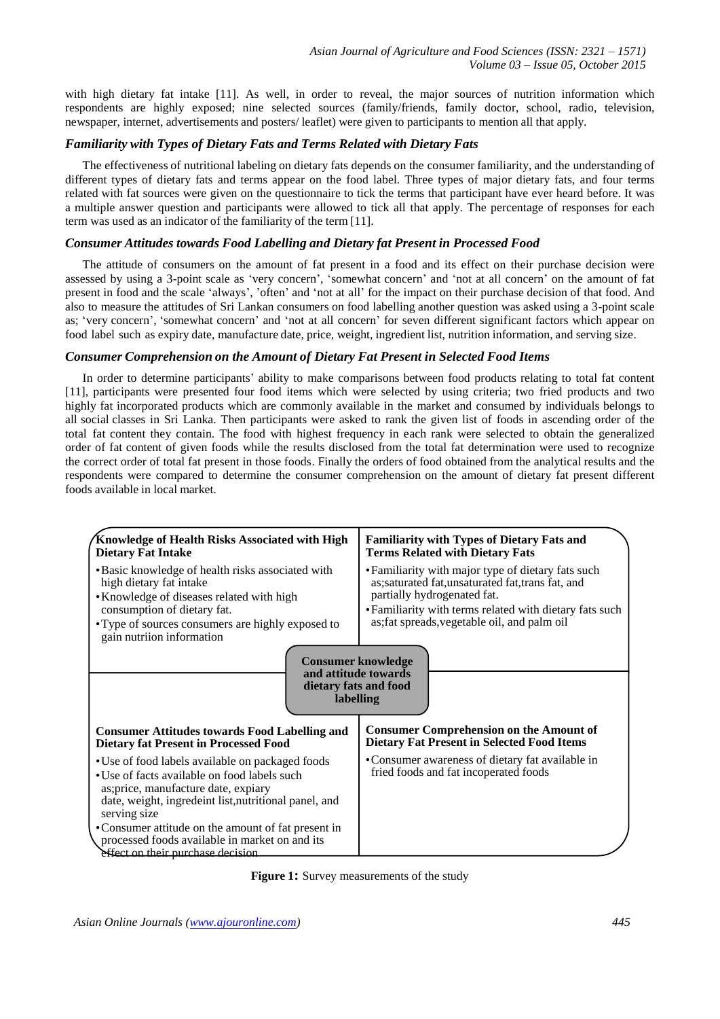with high dietary fat intake [11]. As well, in order to reveal, the major sources of nutrition information which respondents are highly exposed; nine selected sources (family/friends, family doctor, school, radio, television, newspaper, internet, advertisements and posters/ leaflet) were given to participants to mention all that apply.

## *Familiarity with Types of Dietary Fats and Terms Related with Dietary Fats*

The effectiveness of nutritional labeling on dietary fats depends on the consumer familiarity, and the understanding of different types of dietary fats and terms appear on the food label. Three types of major dietary fats, and four terms related with fat sources were given on the questionnaire to tick the terms that participant have ever heard before. It was a multiple answer question and participants were allowed to tick all that apply. The percentage of responses for each term was used as an indicator of the familiarity of the term [11].

## *Consumer Attitudes towards Food Labelling and Dietary fat Present in Processed Food*

The attitude of consumers on the amount of fat present in a food and its effect on their purchase decision were assessed by using a 3-point scale as 'very concern', 'somewhat concern' and 'not at all concern' on the amount of fat present in food and the scale 'always', 'often' and 'not at all' for the impact on their purchase decision of that food. And also to measure the attitudes of Sri Lankan consumers on food labelling another question was asked using a 3-point scale as; 'very concern', 'somewhat concern' and 'not at all concern' for seven different significant factors which appear on food label such as expiry date, manufacture date, price, weight, ingredient list, nutrition information, and serving size.

## *Consumer Comprehension on the Amount of Dietary Fat Present in Selected Food Items*

In order to determine participants" ability to make comparisons between food products relating to total fat content [11], participants were presented four food items which were selected by using criteria; two fried products and two highly fat incorporated products which are commonly available in the market and consumed by individuals belongs to all social classes in Sri Lanka. Then participants were asked to rank the given list of foods in ascending order of the total fat content they contain. The food with highest frequency in each rank were selected to obtain the generalized order of fat content of given foods while the results disclosed from the total fat determination were used to recognize the correct order of total fat present in those foods. Finally the orders of food obtained from the analytical results and the respondents were compared to determine the consumer comprehension on the amount of dietary fat present different foods available in local market.

| Knowledge of Health Risks Associated with High<br><b>Dietary Fat Intake</b>                                                                                                                                                                                                                                                                                     | <b>Familiarity with Types of Dietary Fats and</b><br><b>Terms Related with Dietary Fats</b>                                                                                                                                                        |  |  |  |  |
|-----------------------------------------------------------------------------------------------------------------------------------------------------------------------------------------------------------------------------------------------------------------------------------------------------------------------------------------------------------------|----------------------------------------------------------------------------------------------------------------------------------------------------------------------------------------------------------------------------------------------------|--|--|--|--|
| • Basic knowledge of health risks associated with<br>high dietary fat intake<br>• Knowledge of diseases related with high<br>consumption of dietary fat.<br>• Type of sources consumers are highly exposed to<br>gain nutriion information                                                                                                                      | • Familiarity with major type of dietary fats such<br>as; saturated fat, unsaturated fat, trans fat, and<br>partially hydrogenated fat.<br>• Familiarity with terms related with dietary fats such<br>as; fat spreads, vegetable oil, and palm oil |  |  |  |  |
| <b>Consumer knowledge</b><br>and attitude towards<br>dietary fats and food<br>labelling                                                                                                                                                                                                                                                                         |                                                                                                                                                                                                                                                    |  |  |  |  |
| <b>Consumer Attitudes towards Food Labelling and</b><br><b>Dietary fat Present in Processed Food</b>                                                                                                                                                                                                                                                            | <b>Consumer Comprehension on the Amount of</b><br><b>Dietary Fat Present in Selected Food Items</b>                                                                                                                                                |  |  |  |  |
| • Use of food labels available on packaged foods<br>• Use of facts available on food labels such<br>as; price, manufacture date, expiary<br>date, weight, ingredeint list, nutritional panel, and<br>serving size<br>• Consumer attitude on the amount of fat present in<br>processed foods available in market on and its<br>effect on their purchase decision | • Consumer awareness of dietary fat available in<br>fried foods and fat incoperated foods                                                                                                                                                          |  |  |  |  |

**Figure 1:** Survey measurements of the study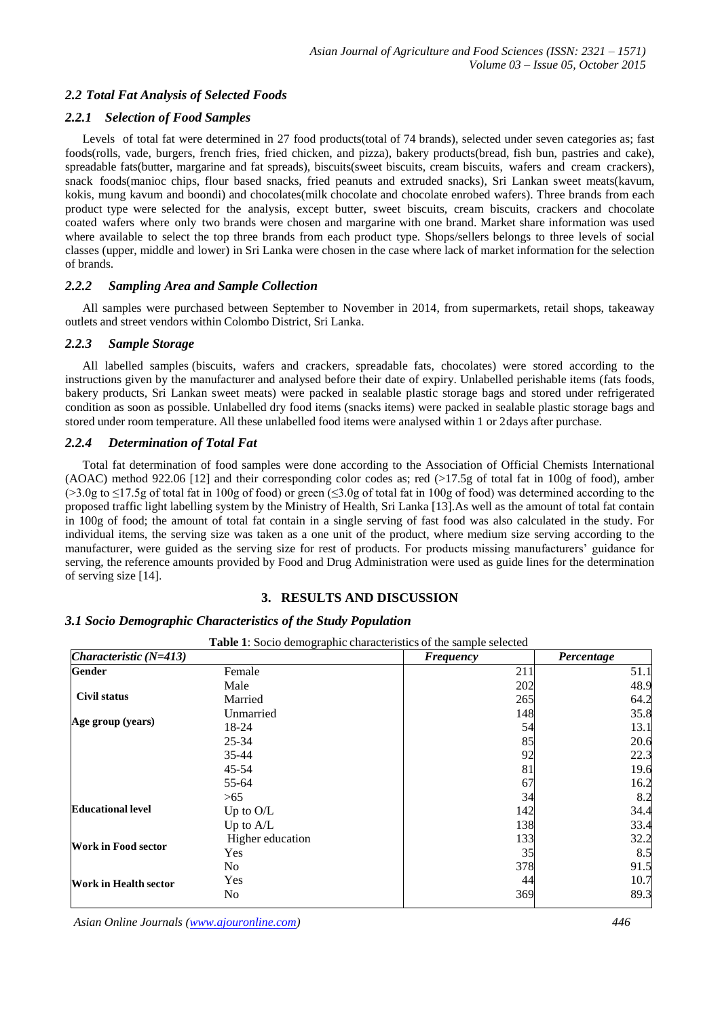## *2.2 Total Fat Analysis of Selected Foods*

#### *2.2.1 Selection of Food Samples*

Levels of total fat were determined in 27 food products(total of 74 brands), selected under seven categories as; fast foods(rolls, vade, burgers, french fries, fried chicken, and pizza), bakery products(bread, fish bun, pastries and cake), spreadable fats(butter, margarine and fat spreads), biscuits(sweet biscuits, cream biscuits, wafers and cream crackers), snack foods(manioc chips, flour based snacks, fried peanuts and extruded snacks), Sri Lankan sweet meats(kavum, kokis, mung kavum and boondi) and chocolates(milk chocolate and chocolate enrobed wafers). Three brands from each product type were selected for the analysis, except butter, sweet biscuits, cream biscuits, crackers and chocolate coated wafers where only two brands were chosen and margarine with one brand. Market share information was used where available to select the top three brands from each product type. Shops/sellers belongs to three levels of social classes (upper, middle and lower) in Sri Lanka were chosen in the case where lack of market information for the selection of brands.

#### *2.2.2 Sampling Area and Sample Collection*

All samples were purchased between September to November in 2014, from supermarkets, retail shops, takeaway outlets and street vendors within Colombo District, Sri Lanka.

#### *2.2.3 Sample Storage*

All labelled samples (biscuits, wafers and crackers, spreadable fats, chocolates) were stored according to the instructions given by the manufacturer and analysed before their date of expiry. Unlabelled perishable items (fats foods, bakery products, Sri Lankan sweet meats) were packed in sealable plastic storage bags and stored under refrigerated condition as soon as possible. Unlabelled dry food items (snacks items) were packed in sealable plastic storage bags and stored under room temperature. All these unlabelled food items were analysed within 1 or 2days after purchase.

## *2.2.4 Determination of Total Fat*

Total fat determination of food samples were done according to the Association of Official Chemists International (AOAC) method 922.06 [12] and their corresponding color codes as; red (>17.5g of total fat in 100g of food), amber  $(>3.0g$  to  $\leq$ 17.5g of total fat in 100g of food) or green ( $\leq$ 3.0g of total fat in 100g of food) was determined according to the proposed traffic light labelling system by the Ministry of Health, Sri Lanka [13].As well as the amount of total fat contain in 100g of food; the amount of total fat contain in a single serving of fast food was also calculated in the study. For individual items, the serving size was taken as a one unit of the product, where medium size serving according to the manufacturer, were guided as the serving size for rest of products. For products missing manufacturers" guidance for serving, the reference amounts provided by Food and Drug Administration were used as guide lines for the determination of serving size [14].

## **3. RESULTS AND DISCUSSION**

#### *3.1 Socio Demographic Characteristics of the Study Population*

| <i>Characteristic</i> $(N=413)$ |                  | <b>Frequency</b> | Percentage |
|---------------------------------|------------------|------------------|------------|
| Gender                          | Female           | 211              | 51.1       |
| <b>Civil status</b>             | Male             | 202              | 48.9       |
|                                 | Married          | 265              | 64.2       |
| Age group (years)               | Unmarried        | 148              | 35.8       |
|                                 | 18-24            | 54               | 13.1       |
|                                 | $25 - 34$        | 85               | 20.6       |
|                                 | $35 - 44$        | 92               | 22.3       |
|                                 | 45-54            | 81               | 19.6       |
|                                 | 55-64            | 67               | 16.2       |
|                                 | > 65             | 34               | 8.2        |
| <b>Educational level</b>        | Up to $O/L$      | 142              | 34.4       |
|                                 | Up to A/L        | 138              | 33.4       |
| <b>Work in Food sector</b>      | Higher education | 133              | 32.2       |
|                                 | Yes              | 35               | 8.5        |
| <b>Work in Health sector</b>    | N <sub>0</sub>   | 378              | 91.5       |
|                                 | Yes              | 44               | 10.7       |
|                                 | No               | 369              | 89.3       |

**Table 1**: Socio demographic characteristics of the sample selected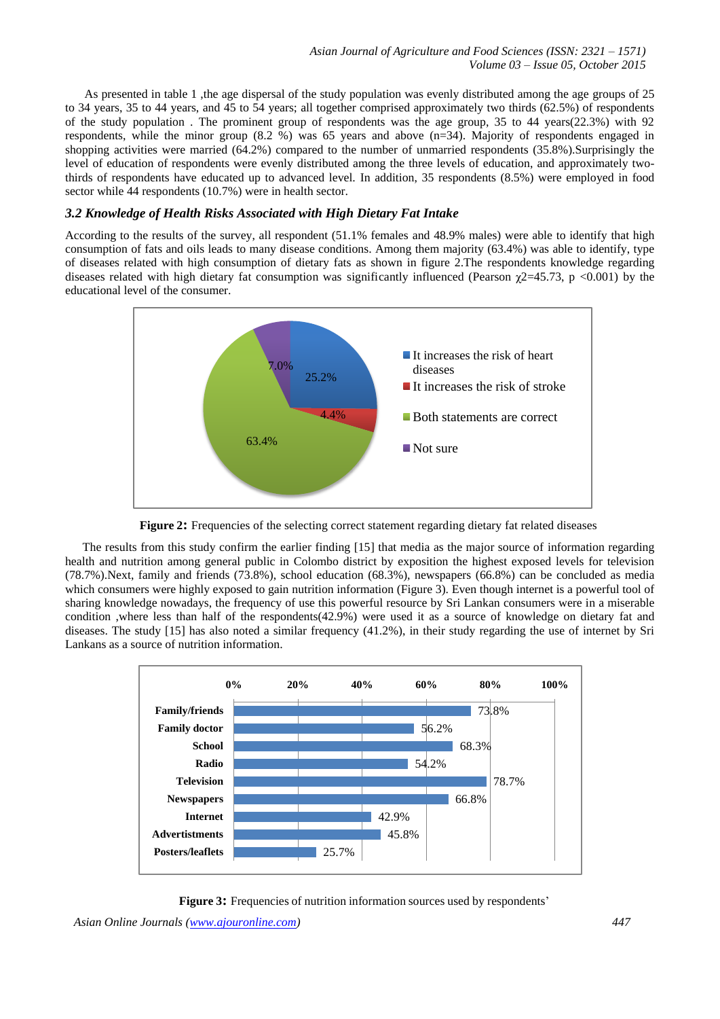As presented in table 1 ,the age dispersal of the study population was evenly distributed among the age groups of 25 to 34 years, 35 to 44 years, and 45 to 54 years; all together comprised approximately two thirds (62.5%) of respondents of the study population . The prominent group of respondents was the age group, 35 to 44 years(22.3%) with 92 respondents, while the minor group (8.2 %) was 65 years and above (n=34). Majority of respondents engaged in shopping activities were married (64.2%) compared to the number of unmarried respondents (35.8%).Surprisingly the level of education of respondents were evenly distributed among the three levels of education, and approximately twothirds of respondents have educated up to advanced level. In addition, 35 respondents (8.5%) were employed in food sector while 44 respondents (10.7%) were in health sector.

## *3.2 Knowledge of Health Risks Associated with High Dietary Fat Intake*

According to the results of the survey, all respondent (51.1% females and 48.9% males) were able to identify that high consumption of fats and oils leads to many disease conditions. Among them majority (63.4%) was able to identify, type of diseases related with high consumption of dietary fats as shown in figure 2.The respondents knowledge regarding diseases related with high dietary fat consumption was significantly influenced (Pearson  $\chi$ 2=45.73, p <0.001) by the educational level of the consumer.



**Figure 2:** Frequencies of the selecting correct statement regarding dietary fat related diseases

The results from this study confirm the earlier finding [15] that media as the major source of information regarding health and nutrition among general public in Colombo district by exposition the highest exposed levels for television (78.7%).Next, family and friends (73.8%), school education (68.3%), newspapers (66.8%) can be concluded as media which consumers were highly exposed to gain nutrition information (Figure 3). Even though internet is a powerful tool of sharing knowledge nowadays, the frequency of use this powerful resource by Sri Lankan consumers were in a miserable condition ,where less than half of the respondents(42.9%) were used it as a source of knowledge on dietary fat and diseases. The study [15] has also noted a similar frequency (41.2%), in their study regarding the use of internet by Sri Lankans as a source of nutrition information.



**Figure 3:** Frequencies of nutrition information sources used by respondents'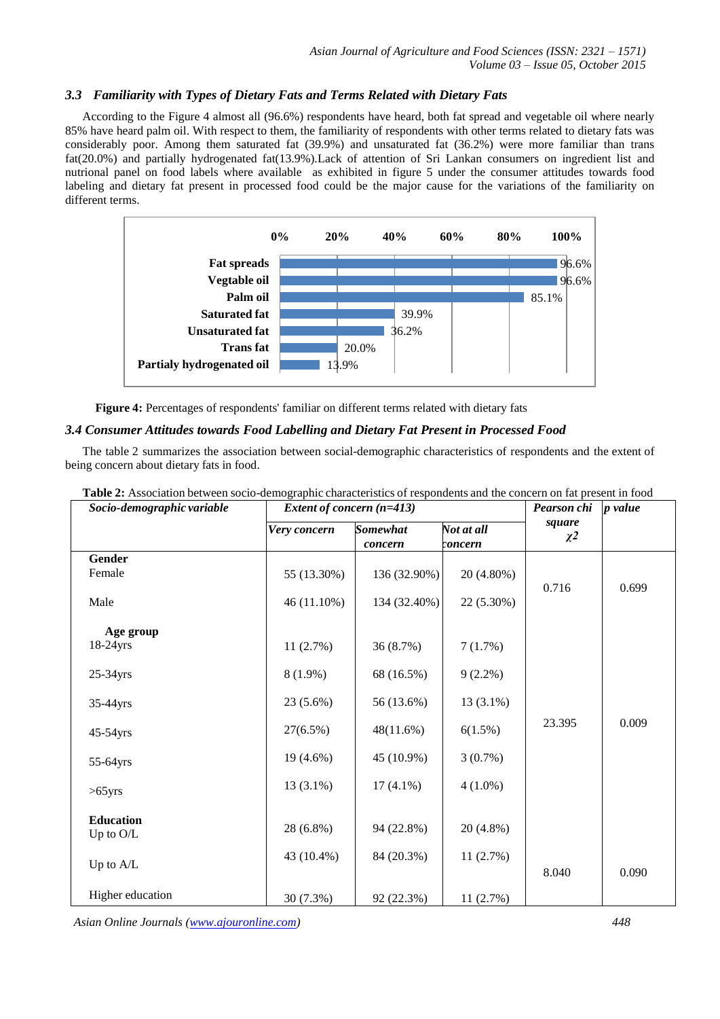## *3.3 Familiarity with Types of Dietary Fats and Terms Related with Dietary Fats*

According to the Figure 4 almost all (96.6%) respondents have heard, both fat spread and vegetable oil where nearly 85% have heard palm oil. With respect to them, the familiarity of respondents with other terms related to dietary fats was considerably poor. Among them saturated fat (39.9%) and unsaturated fat (36.2%) were more familiar than trans fat(20.0%) and partially hydrogenated fat(13.9%).Lack of attention of Sri Lankan consumers on ingredient list and nutrional panel on food labels where available as exhibited in figure 5 under the consumer attitudes towards food labeling and dietary fat present in processed food could be the major cause for the variations of the familiarity on different terms.



**Figure 4:** Percentages of respondents' familiar on different terms related with dietary fats

## *3.4 Consumer Attitudes towards Food Labelling and Dietary Fat Present in Processed Food*

The table 2 summarizes the association between social-demographic characteristics of respondents and the extent of being concern about dietary fats in food.

| Socio-demographic variable    | Extent of concern (n=413) |                            |                       | Pearson chi        | <i>p</i> value |
|-------------------------------|---------------------------|----------------------------|-----------------------|--------------------|----------------|
|                               | Very concern              | <b>Somewhat</b><br>concern | Not at all<br>concern | square<br>$\chi^2$ |                |
| Gender                        |                           |                            |                       |                    |                |
| Female                        | 55 (13.30%)               | 136 (32.90%)               | 20 (4.80%)            |                    |                |
| Male                          | 46 (11.10%)               | 134 (32.40%)               | 22 (5.30%)            | 0.716              | 0.699          |
| Age group                     |                           |                            |                       |                    |                |
| 18-24yrs                      | 11(2.7%)                  | 36 (8.7%)                  | 7(1.7%)               |                    |                |
|                               |                           |                            |                       |                    |                |
| $25-34$ yrs                   | $8(1.9\%)$                | 68 (16.5%)                 | $9(2.2\%)$            | 23.395             | 0.009          |
| 35-44yrs                      | 23 (5.6%)                 | 56 (13.6%)                 | $13(3.1\%)$           |                    |                |
| 45-54yrs                      | 27(6.5%)                  | 48(11.6%)                  | 6(1.5%)               |                    |                |
| 55-64yrs                      | 19 (4.6%)                 | 45 (10.9%)                 | $3(0.7\%)$            |                    |                |
| $>65$ yrs                     | $13(3.1\%)$               | $17(4.1\%)$                | $4(1.0\%)$            |                    |                |
|                               |                           |                            |                       |                    |                |
| <b>Education</b><br>Up to O/L | 28 (6.8%)                 | 94 (22.8%)                 | 20 (4.8%)             |                    |                |
|                               |                           |                            |                       |                    |                |
| Up to A/L                     | 43 (10.4%)                | 84 (20.3%)                 | 11(2.7%)              |                    |                |
|                               |                           |                            |                       | 8.040              | 0.090          |
| Higher education              | 30 (7.3%)                 | 92 (22.3%)                 | 11 (2.7%)             |                    |                |

**Table 2:** Association between socio-demographic characteristics of respondents and the concern on fat present in food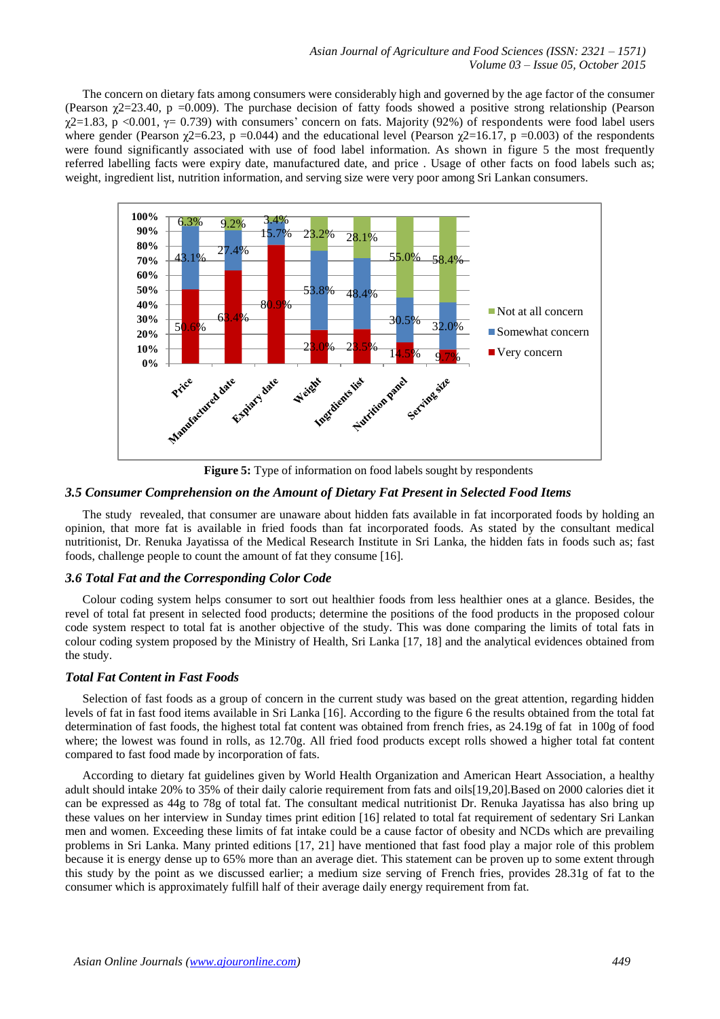The concern on dietary fats among consumers were considerably high and governed by the age factor of the consumer (Pearson  $\gamma$ 2=23.40, p =0.009). The purchase decision of fatty foods showed a positive strong relationship (Pearson  $χ$ 2=1.83, p <0.001,  $γ$ = 0.739) with consumers' concern on fats. Majority (92%) of respondents were food label users where gender (Pearson  $\gamma$ 2=6.23, p =0.044) and the educational level (Pearson  $\gamma$ 2=16.17, p =0.003) of the respondents were found significantly associated with use of food label information. As shown in figure 5 the most frequently referred labelling facts were expiry date, manufactured date, and price . Usage of other facts on food labels such as; weight, ingredient list, nutrition information, and serving size were very poor among Sri Lankan consumers.



**Figure 5:** Type of information on food labels sought by respondents

#### *3.5 Consumer Comprehension on the Amount of Dietary Fat Present in Selected Food Items*

The study revealed, that consumer are unaware about hidden fats available in fat incorporated foods by holding an opinion, that more fat is available in fried foods than fat incorporated foods. As stated by the consultant medical nutritionist, Dr. Renuka Jayatissa of the Medical Research Institute in Sri Lanka, the hidden fats in foods such as; fast foods, challenge people to count the amount of fat they consume [16].

#### *3.6 Total Fat and the Corresponding Color Code*

Colour coding system helps consumer to sort out healthier foods from less healthier ones at a glance. Besides, the revel of total fat present in selected food products; determine the positions of the food products in the proposed colour code system respect to total fat is another objective of the study. This was done comparing the limits of total fats in colour coding system proposed by the Ministry of Health, Sri Lanka [17, 18] and the analytical evidences obtained from the study.

## *Total Fat Content in Fast Foods*

Selection of fast foods as a group of concern in the current study was based on the great attention, regarding hidden levels of fat in fast food items available in Sri Lanka [16]. According to the figure 6 the results obtained from the total fat determination of fast foods, the highest total fat content was obtained from french fries, as 24.19g of fat in 100g of food where; the lowest was found in rolls, as 12.70g. All fried food products except rolls showed a higher total fat content compared to fast food made by incorporation of fats.

According to dietary fat guidelines given by World Health Organization and American Heart Association, a healthy adult should intake 20% to 35% of their daily calorie requirement from fats and oils[19,20].Based on 2000 calories diet it can be expressed as 44g to 78g of total fat. The consultant medical nutritionist Dr. Renuka Jayatissa has also bring up these values on her interview in Sunday times print edition [16] related to total fat requirement of sedentary Sri Lankan men and women. Exceeding these limits of fat intake could be a cause factor of obesity and NCDs which are prevailing problems in Sri Lanka. Many printed editions [17, 21] have mentioned that fast food play a major role of this problem because it is energy dense up to 65% more than an average diet. This statement can be proven up to some extent through this study by the point as we discussed earlier; a medium size serving of French fries, provides 28.31g of fat to the consumer which is approximately fulfill half of their average daily energy requirement from fat.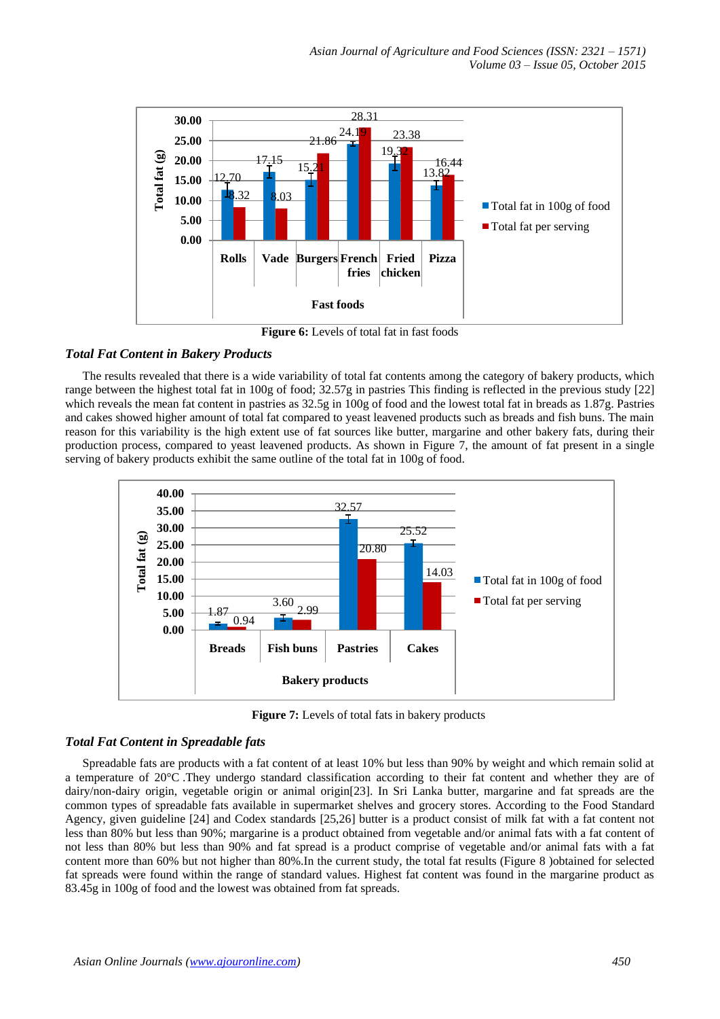

**Figure 6:** Levels of total fat in fast foods

## *Total Fat Content in Bakery Products*

The results revealed that there is a wide variability of total fat contents among the category of bakery products, which range between the highest total fat in 100g of food; 32.57g in pastries This finding is reflected in the previous study [22] which reveals the mean fat content in pastries as 32.5g in 100g of food and the lowest total fat in breads as 1.87g. Pastries and cakes showed higher amount of total fat compared to yeast leavened products such as breads and fish buns. The main reason for this variability is the high extent use of fat sources like butter, margarine and other bakery fats, during their production process, compared to yeast leavened products. As shown in Figure 7, the amount of fat present in a single serving of bakery products exhibit the same outline of the total fat in 100g of food.



**Figure 7:** Levels of total fats in bakery products

#### *Total Fat Content in Spreadable fats*

Spreadable fats are products with a fat content of at least 10% but less than 90% by weight and which remain solid at a temperature of 20°C .They undergo standard classification according to their fat content and whether they are of dairy/non-dairy origin, vegetable origin or animal origin[23]. In Sri Lanka butter, margarine and fat spreads are the common types of spreadable fats available in supermarket shelves and grocery stores. According to the Food Standard Agency, given guideline [24] and Codex standards [25,26] butter is a product consist of milk fat with a fat content not less than 80% but less than 90%; margarine is a product obtained from vegetable and/or animal fats with a fat content of not less than 80% but less than 90% and fat spread is a product comprise of vegetable and/or animal fats with a fat content more than 60% but not higher than 80%.In the current study, the total fat results (Figure 8 )obtained for selected fat spreads were found within the range of standard values. Highest fat content was found in the margarine product as 83.45g in 100g of food and the lowest was obtained from fat spreads.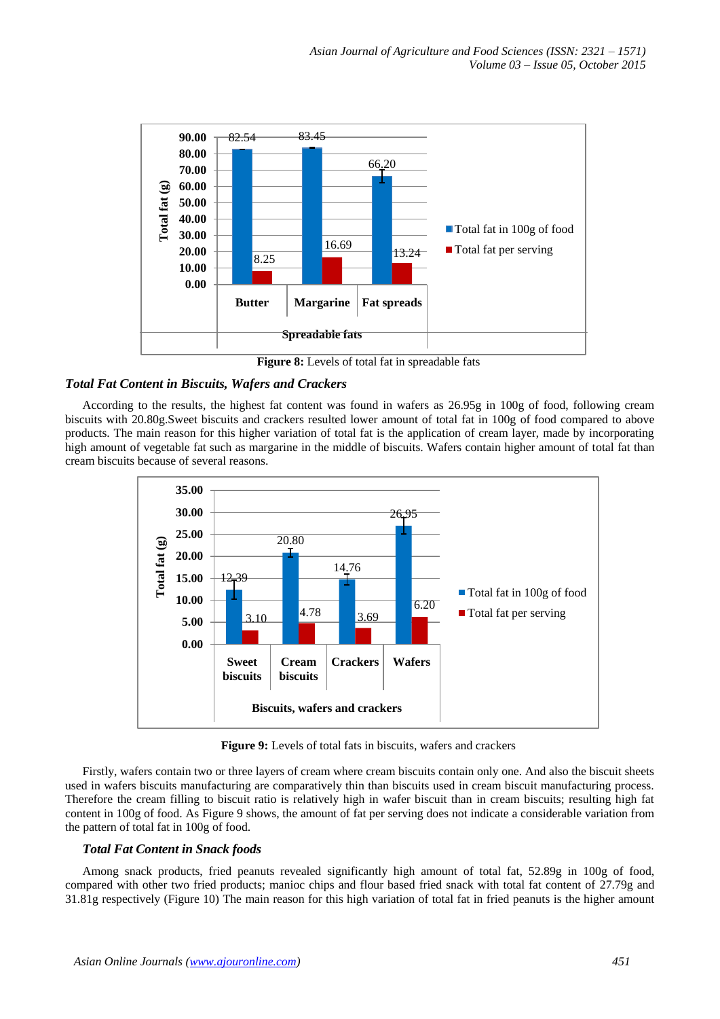

Figure 8: Levels of total fat in spreadable fats

## *Total Fat Content in Biscuits, Wafers and Crackers*

According to the results, the highest fat content was found in wafers as 26.95g in 100g of food, following cream biscuits with 20.80g.Sweet biscuits and crackers resulted lower amount of total fat in 100g of food compared to above products. The main reason for this higher variation of total fat is the application of cream layer, made by incorporating high amount of vegetable fat such as margarine in the middle of biscuits. Wafers contain higher amount of total fat than cream biscuits because of several reasons.



**Figure 9:** Levels of total fats in biscuits, wafers and crackers

Firstly, wafers contain two or three layers of cream where cream biscuits contain only one. And also the biscuit sheets used in wafers biscuits manufacturing are comparatively thin than biscuits used in cream biscuit manufacturing process. Therefore the cream filling to biscuit ratio is relatively high in wafer biscuit than in cream biscuits; resulting high fat content in 100g of food. As Figure 9 shows, the amount of fat per serving does not indicate a considerable variation from the pattern of total fat in 100g of food.

## *Total Fat Content in Snack foods*

Among snack products, fried peanuts revealed significantly high amount of total fat, 52.89g in 100g of food, compared with other two fried products; manioc chips and flour based fried snack with total fat content of 27.79g and 31.81g respectively (Figure 10) The main reason for this high variation of total fat in fried peanuts is the higher amount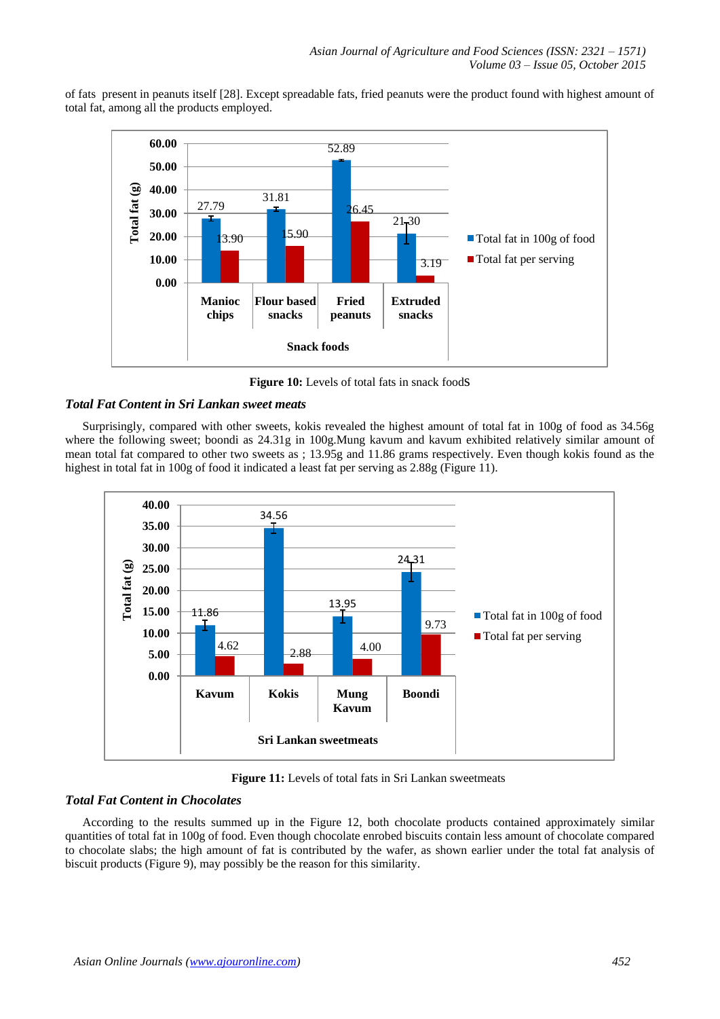of fats present in peanuts itself [28]. Except spreadable fats, fried peanuts were the product found with highest amount of total fat, among all the products employed.



**Figure 10:** Levels of total fats in snack foods

# *Total Fat Content in Sri Lankan sweet meats*

Surprisingly, compared with other sweets, kokis revealed the highest amount of total fat in 100g of food as 34.56g where the following sweet; boondi as 24.31g in 100g.Mung kavum and kavum exhibited relatively similar amount of mean total fat compared to other two sweets as ; 13.95g and 11.86 grams respectively. Even though kokis found as the highest in total fat in 100g of food it indicated a least fat per serving as 2.88g (Figure 11).



**Figure 11:** Levels of total fats in Sri Lankan sweetmeats

## *Total Fat Content in Chocolates*

According to the results summed up in the Figure 12, both chocolate products contained approximately similar quantities of total fat in 100g of food. Even though chocolate enrobed biscuits contain less amount of chocolate compared to chocolate slabs; the high amount of fat is contributed by the wafer, as shown earlier under the total fat analysis of biscuit products (Figure 9), may possibly be the reason for this similarity.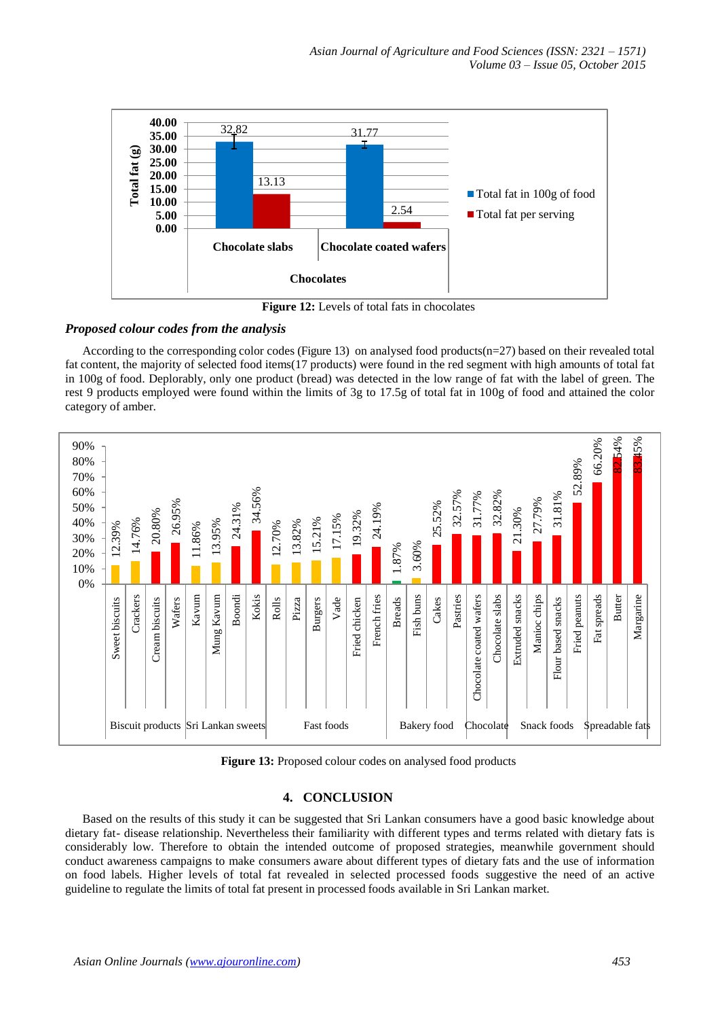

**Figure 12:** Levels of total fats in chocolates

## *Proposed colour codes from the analysis*

According to the corresponding color codes (Figure 13) on analysed food products( $n=27$ ) based on their revealed total fat content, the majority of selected food items(17 products) were found in the red segment with high amounts of total fat in 100g of food. Deplorably, only one product (bread) was detected in the low range of fat with the label of green. The rest 9 products employed were found within the limits of 3g to 17.5g of total fat in 100g of food and attained the color category of amber.



**Figure 13:** Proposed colour codes on analysed food products

# **4. CONCLUSION**

Based on the results of this study it can be suggested that Sri Lankan consumers have a good basic knowledge about dietary fat- disease relationship. Nevertheless their familiarity with different types and terms related with dietary fats is considerably low. Therefore to obtain the intended outcome of proposed strategies, meanwhile government should conduct awareness campaigns to make consumers aware about different types of dietary fats and the use of information on food labels. Higher levels of total fat revealed in selected processed foods suggestive the need of an active guideline to regulate the limits of total fat present in processed foods available in Sri Lankan market.